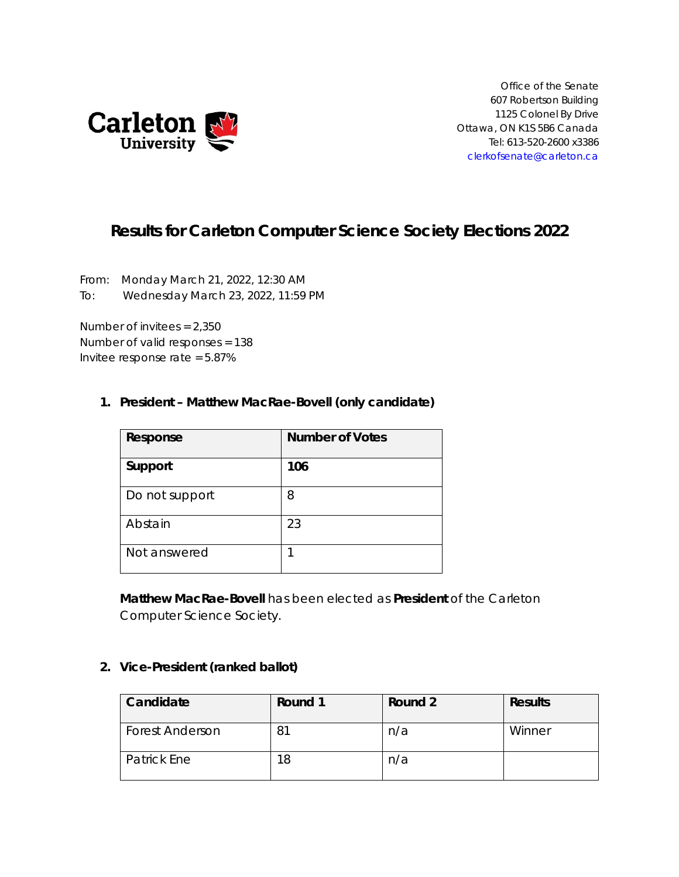

Office of the Senate 607 Robertson Building 1125 Colonel By Drive Ottawa, ON K1S 5B6 Canada Tel: 613-520-2600 x3386 [clerkofsenate@carleton.ca](mailto:clerkofsenate@carleton.ca)

# **Results for Carleton Computer Science Society Elections 2022**

From: Monday March 21, 2022, 12:30 AM To: Wednesday March 23, 2022, 11:59 PM

Number of invitees = 2,350 Number of valid responses = 138 Invitee response rate = 5.87%

## **1. President – Matthew MacRae-Bovell (only candidate)**

| Response       | <b>Number of Votes</b> |
|----------------|------------------------|
| Support        | 106                    |
| Do not support | 8                      |
| Abstain        | 23                     |
| Not answered   |                        |

**Matthew MacRae-Bovell** has been elected as **President** of the Carleton Computer Science Society.

#### **2. Vice-President (ranked ballot)**

| Candidate              | Round 1     | Round 2 | <b>Results</b> |
|------------------------|-------------|---------|----------------|
| <b>Forest Anderson</b> | $8^{\circ}$ | n/a     | Winner         |
| <b>Patrick Ene</b>     | 18          | n/a     |                |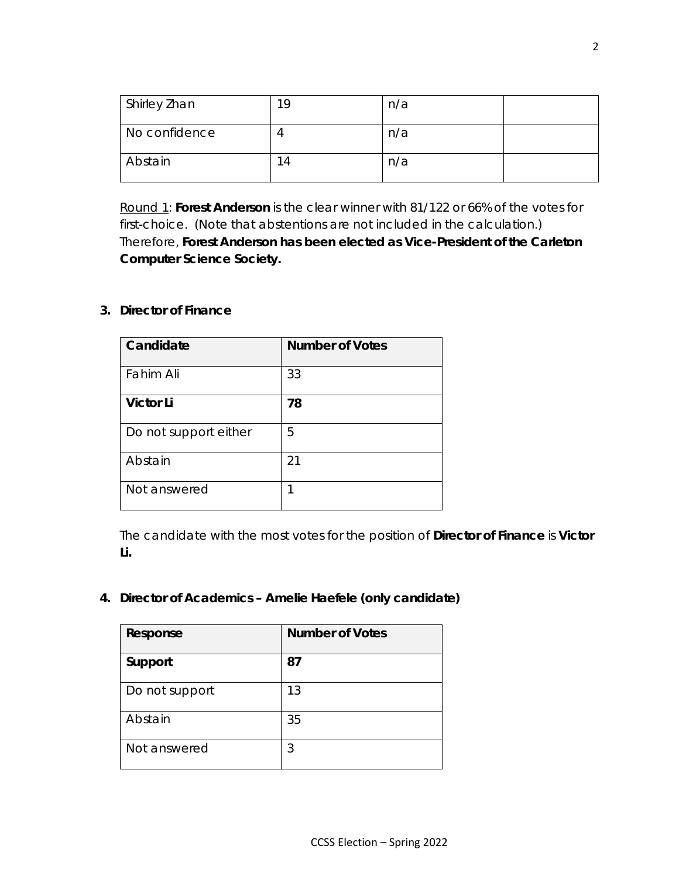| <b>Shirley Zhan</b> | 1 Q           | n/a |  |
|---------------------|---------------|-----|--|
| No confidence       |               | n/a |  |
| Abstain             | $\frac{1}{4}$ | n/a |  |

Round 1: **Forest Anderson** is the clear winner with 81/122 or 66% of the votes for first-choice. (Note that abstentions are not included in the calculation.) Therefore, **Forest Anderson has been elected as Vice-President of the Carleton Computer Science Society.**

### **3. Director of Finance**

| Candidate             | <b>Number of Votes</b> |
|-----------------------|------------------------|
| Fahim Ali             | 33                     |
| <b>Victor Li</b>      | 78                     |
| Do not support either | 5                      |
| Abstain               | 21                     |
| Not answered          | 1                      |

The candidate with the most votes for the position of **Director of Finance** is **Victor Li.**

**4. Director of Academics – Amelie Haefele (only candidate)**

| Response       | <b>Number of Votes</b> |
|----------------|------------------------|
| Support        | 87                     |
| Do not support | 13                     |
| Abstain        | 35                     |
| Not answered   | 3                      |